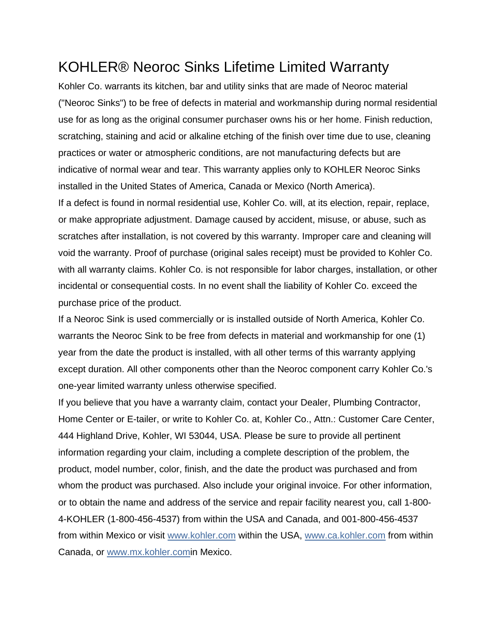## KOHLER® Neoroc Sinks Lifetime Limited Warranty

Kohler Co. warrants its kitchen, bar and utility sinks that are made of Neoroc material ("Neoroc Sinks") to be free of defects in material and workmanship during normal residential use for as long as the original consumer purchaser owns his or her home. Finish reduction, scratching, staining and acid or alkaline etching of the finish over time due to use, cleaning practices or water or atmospheric conditions, are not manufacturing defects but are indicative of normal wear and tear. This warranty applies only to KOHLER Neoroc Sinks installed in the United States of America, Canada or Mexico (North America). If a defect is found in normal residential use, Kohler Co. will, at its election, repair, replace, or make appropriate adjustment. Damage caused by accident, misuse, or abuse, such as scratches after installation, is not covered by this warranty. Improper care and cleaning will void the warranty. Proof of purchase (original sales receipt) must be provided to Kohler Co. with all warranty claims. Kohler Co. is not responsible for labor charges, installation, or other incidental or consequential costs. In no event shall the liability of Kohler Co. exceed the purchase price of the product.

If a Neoroc Sink is used commercially or is installed outside of North America, Kohler Co. warrants the Neoroc Sink to be free from defects in material and workmanship for one (1) year from the date the product is installed, with all other terms of this warranty applying except duration. All other components other than the Neoroc component carry Kohler Co.'s one-year limited warranty unless otherwise specified.

If you believe that you have a warranty claim, contact your Dealer, Plumbing Contractor, Home Center or E-tailer, or write to Kohler Co. at, Kohler Co., Attn.: Customer Care Center, 444 Highland Drive, Kohler, WI 53044, USA. Please be sure to provide all pertinent information regarding your claim, including a complete description of the problem, the product, model number, color, finish, and the date the product was purchased and from whom the product was purchased. Also include your original invoice. For other information, or to obtain the name and address of the service and repair facility nearest you, call 1-800- 4-KOHLER (1-800-456-4537) from within the USA and Canada, and 001-800-456-4537 from within Mexico or visit [www.kohler.com](http://www.kohler.com/) within the USA, [www.ca.kohler.com](http://www.ca.kohler.com/) from within Canada, or [www.mx.kohler.comi](http://www.mx.kohler.com/)n Mexico.